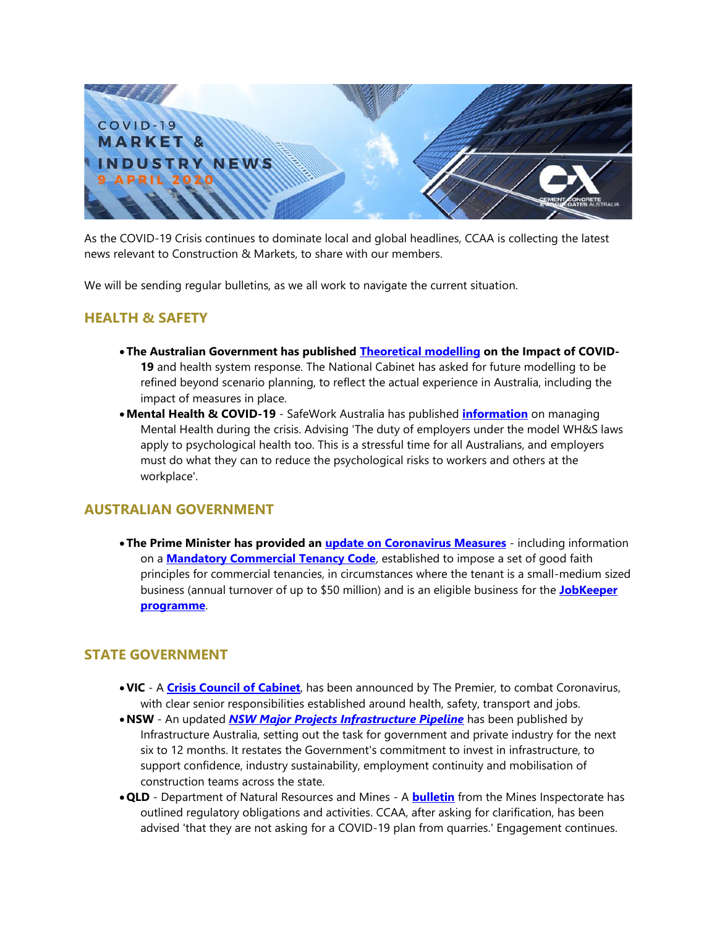

As the COVID-19 Crisis continues to dominate local and global headlines, CCAA is collecting the latest news relevant to Construction & Markets, to share with our members.

We will be sending regular bulletins, as we all work to navigate the current situation.

#### **HEALTH & SAFETY**

- •**The Australian Government has published [Theoretical modelling](http://ccaa.informz.net/z/cjUucD9taT0yMTM5MzE0JnA9MSZ1PTUxMzU5MzY4MiZsaT0xOTY2ODkyNw/index.html) on the Impact of COVID-19** and health system response. The National Cabinet has asked for future modelling to be refined beyond scenario planning, to reflect the actual experience in Australia, including the impact of measures in place.
- •**Mental Health & COVID-19** SafeWork Australia has published **[information](http://ccaa.informz.net/z/cjUucD9taT0yMTM5MzE0JnA9MSZ1PTUxMzU5MzY4MiZsaT0xOTY2ODkyOA/index.html)** on managing Mental Health during the crisis. Advising 'The duty of employers under the model WH&S laws apply to psychological health too. This is a stressful time for all Australians, and employers must do what they can to reduce the psychological risks to workers and others at the workplace'.

### **AUSTRALIAN GOVERNMENT**

•**The Prime Minister has provided an [update on Coronavirus Measures](http://ccaa.informz.net/z/cjUucD9taT0yMTM5MzE0JnA9MSZ1PTUxMzU5MzY4MiZsaT0xOTY2ODkyOQ/index.html)** - including information on a **[Mandatory Commercial Tenancy Code](http://ccaa.informz.net/z/cjUucD9taT0yMTM5MzE0JnA9MSZ1PTUxMzU5MzY4MiZsaT0xOTY2ODkzMA/index.html)**, established to impose a set of good faith principles for commercial tenancies, in circumstances where the tenant is a small-medium sized business (annual turnover of up to \$50 million) and is an eligible business for the **[JobKeeper](http://ccaa.informz.net/z/cjUucD9taT0yMTM5MzE0JnA9MSZ1PTUxMzU5MzY4MiZsaT0xOTY2ODkzMQ/index.html)  [programme](http://ccaa.informz.net/z/cjUucD9taT0yMTM5MzE0JnA9MSZ1PTUxMzU5MzY4MiZsaT0xOTY2ODkzMQ/index.html)**.

#### **STATE GOVERNMENT**

- •**VIC**  A **[Crisis Council of Cabinet](http://ccaa.informz.net/z/cjUucD9taT0yMTM5MzE0JnA9MSZ1PTUxMzU5MzY4MiZsaT0xOTY2ODkzMg/index.html)**, has been announced by The Premier, to combat Coronavirus, with clear senior responsibilities established around health, safety, transport and jobs.
- •**NSW** An updated *[NSW Major Projects Infrastructure Pipeline](http://ccaa.informz.net/z/cjUucD9taT0yMTM5MzE0JnA9MSZ1PTUxMzU5MzY4MiZsaT0xOTY2ODkzMw/index.html)* has been published by Infrastructure Australia, setting out the task for government and private industry for the next six to 12 months. It restates the Government's commitment to invest in infrastructure, to support confidence, industry sustainability, employment continuity and mobilisation of construction teams across the state.
- •**QLD** Department of Natural Resources and Mines A **[bulletin](http://ccaa.informz.net/z/cjUucD9taT0yMTM5MzE0JnA9MSZ1PTUxMzU5MzY4MiZsaT0xOTY2ODkzNA/index.html)** from the Mines Inspectorate has outlined regulatory obligations and activities. CCAA, after asking for clarification, has been advised 'that they are not asking for a COVID-19 plan from quarries.' Engagement continues.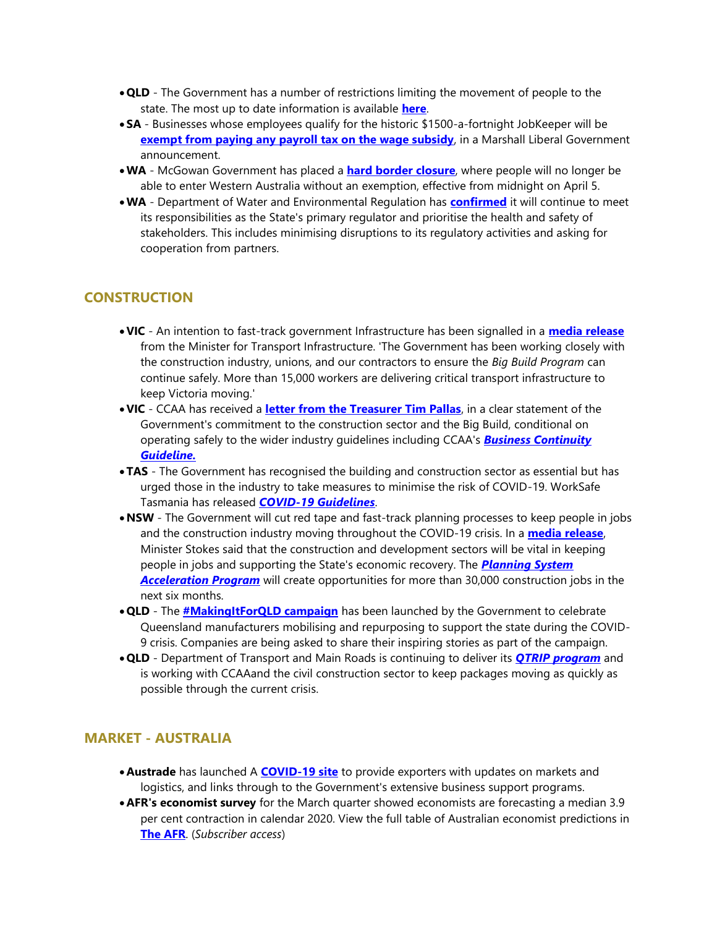- •**QLD** The Government has a number of restrictions limiting the movement of people to the state. The most up to date information is available **[here](http://ccaa.informz.net/z/cjUucD9taT0yMTM5MzE0JnA9MSZ1PTUxMzU5MzY4MiZsaT0xOTY2ODkzNQ/index.html)**.
- **SA** Businesses whose employees qualify for the historic \$1500-a-fortnight JobKeeper will be **[exempt from paying any payroll tax on the wage subsidy](http://ccaa.informz.net/z/cjUucD9taT0yMTM5MzE0JnA9MSZ1PTUxMzU5MzY4MiZsaT0xOTY2ODkzNg/index.html)**, in a Marshall Liberal Government announcement.
- •**WA** McGowan Government has placed a **[hard border closure](http://ccaa.informz.net/z/cjUucD9taT0yMTM5MzE0JnA9MSZ1PTUxMzU5MzY4MiZsaT0xOTY2ODkzNw/index.html)**, where people will no longer be able to enter Western Australia without an exemption, effective from midnight on April 5.
- •**WA** Department of Water and Environmental Regulation has **[confirmed](http://ccaa.informz.net/z/cjUucD9taT0yMTM5MzE0JnA9MSZ1PTUxMzU5MzY4MiZsaT0xOTY2ODkzOA/index.html)** it will continue to meet its responsibilities as the State's primary regulator and prioritise the health and safety of stakeholders. This includes minimising disruptions to its regulatory activities and asking for cooperation from partners.

# **CONSTRUCTION**

- •**VIC** An intention to fast-track government Infrastructure has been signalled in a **[media release](http://ccaa.informz.net/z/cjUucD9taT0yMTM5MzE0JnA9MSZ1PTUxMzU5MzY4MiZsaT0xOTY2ODkzOQ/index.html)** from the Minister for Transport Infrastructure. 'The Government has been working closely with the construction industry, unions, and our contractors to ensure the *Big Build Program* can continue safely. More than 15,000 workers are delivering critical transport infrastructure to keep Victoria moving.'
- •**VIC**  CCAA has received a **[letter from the Treasurer Tim Pallas](http://ccaa.informz.net/z/cjUucD9taT0yMTM5MzE0JnA9MSZ1PTUxMzU5MzY4MiZsaT0xOTY2ODk0MA/index.html)**, in a clear statement of the Government's commitment to the construction sector and the Big Build, conditional on operating safely to the wider industry guidelines including CCAA's *[Business Continuity](https://view.publitas.com/ccaa/ccaa_covid19_riskmanagementprotocols_newsletter_25032020/page/1)  [Guideline.](https://view.publitas.com/ccaa/ccaa_covid19_riskmanagementprotocols_newsletter_25032020/page/1)*
- •**TAS** The Government has recognised the building and construction sector as essential but has urged those in the industry to take measures to minimise the risk of COVID-19. WorkSafe Tasmania has released *[COVID-19 Guidelines](http://ccaa.informz.net/z/cjUucD9taT0yMTM5MzE0JnA9MSZ1PTUxMzU5MzY4MiZsaT0xOTY2ODk0MQ/index.html)*.
- •**NSW** The Government will cut red tape and fast-track planning processes to keep people in jobs and the construction industry moving throughout the COVID-19 crisis. In a **[media release](http://ccaa.informz.net/z/cjUucD9taT0yMTM5MzE0JnA9MSZ1PTUxMzU5MzY4MiZsaT0xOTY2ODk0Mw/index.html)**, Minister Stokes said that the construction and development sectors will be vital in keeping people in jobs and supporting the State's economic recovery. The *[Planning System](http://ccaa.informz.net/z/cjUucD9taT0yMTM5MzE0JnA9MSZ1PTUxMzU5MzY4MiZsaT0xOTY2ODk0Mw/index.html)*  **[Acceleration Program](http://ccaa.informz.net/z/cjUucD9taT0yMTM5MzE0JnA9MSZ1PTUxMzU5MzY4MiZsaT0xOTY2ODk0Mw/index.html)** will create opportunities for more than 30,000 construction jobs in the next six months.
- •**QLD** The **[#MakingItForQLD campaign](http://ccaa.informz.net/z/cjUucD9taT0yMTM5MzE0JnA9MSZ1PTUxMzU5MzY4MiZsaT0xOTY2ODk0NA/index.html)** has been launched by the Government to celebrate Queensland manufacturers mobilising and repurposing to support the state during the COVID-9 crisis. Companies are being asked to share their inspiring stories as part of the campaign.
- •**QLD** Department of Transport and Main Roads is continuing to deliver its *[QTRIP program](http://ccaa.informz.net/z/cjUucD9taT0yMTM5MzE0JnA9MSZ1PTUxMzU5MzY4MiZsaT0xOTY2ODk0NQ/index.html)* and is working with CCAAand the civil construction sector to keep packages moving as quickly as possible through the current crisis.

# **MARKET - AUSTRALIA**

- **Austrade** has launched A **[COVID-19 site](http://ccaa.informz.net/z/cjUucD9taT0yMTM5MzE0JnA9MSZ1PTUxMzU5MzY4MiZsaT0xOTY2ODk0Ng/index.html)** to provide exporters with updates on markets and logistics, and links through to the Government's extensive business support programs.
- **AFR's economist survey** for the March quarter showed economists are forecasting a median 3.9 per cent contraction in calendar 2020. View the full table of Australian economist predictions in **[The AFR](http://ccaa.informz.net/z/cjUucD9taT0yMTM5MzE0JnA9MSZ1PTUxMzU5MzY4MiZsaT0xOTY2ODk0Nw/index.html)**. (*Subscriber access*)